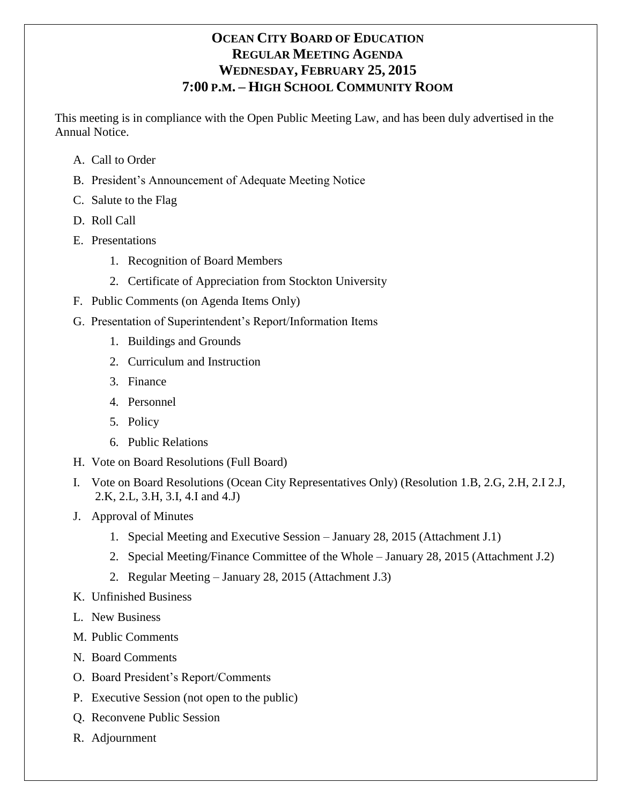# **OCEAN CITY BOARD OF EDUCATION REGULAR MEETING AGENDA WEDNESDAY, FEBRUARY 25, 2015 7:00 P.M. – HIGH SCHOOL COMMUNITY ROOM**

This meeting is in compliance with the Open Public Meeting Law, and has been duly advertised in the Annual Notice.

- A. Call to Order
- B. President's Announcement of Adequate Meeting Notice
- C. Salute to the Flag
- D. Roll Call
- E. Presentations
	- 1. Recognition of Board Members
	- 2. Certificate of Appreciation from Stockton University
- F. Public Comments (on Agenda Items Only)
- G. Presentation of Superintendent's Report/Information Items
	- 1. Buildings and Grounds
	- 2. Curriculum and Instruction
	- 3. Finance
	- 4. Personnel
	- 5. Policy
	- 6. Public Relations
- H. Vote on Board Resolutions (Full Board)
- I. Vote on Board Resolutions (Ocean City Representatives Only) (Resolution 1.B, 2.G, 2.H, 2.I 2.J, 2.K, 2.L, 3.H, 3.I, 4.I and 4.J)
- J. Approval of Minutes
	- 1. Special Meeting and Executive Session January 28, 2015 (Attachment J.1)
	- 2. Special Meeting/Finance Committee of the Whole January 28, 2015 (Attachment J.2)
	- 2. Regular Meeting January 28, 2015 (Attachment J.3)
- K. Unfinished Business
- L. New Business
- M. Public Comments
- N. Board Comments
- O. Board President's Report/Comments
- P. Executive Session (not open to the public)
- Q. Reconvene Public Session
- R. Adjournment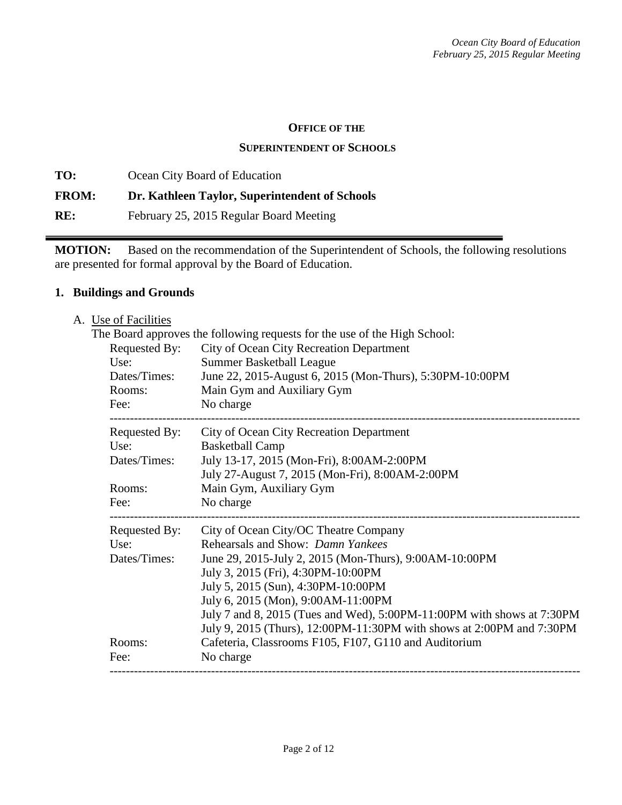#### **OFFICE OF THE**

#### **SUPERINTENDENT OF SCHOOLS**

**TO:** Ocean City Board of Education **FROM: Dr. Kathleen Taylor, Superintendent of Schools RE:** February 25, 2015 Regular Board Meeting

**MOTION:** Based on the recommendation of the Superintendent of Schools, the following resolutions are presented for formal approval by the Board of Education.

### **1. Buildings and Grounds**

| A. Use of Facilities |                                                                           |
|----------------------|---------------------------------------------------------------------------|
|                      | The Board approves the following requests for the use of the High School: |
| Requested By:        | City of Ocean City Recreation Department                                  |
| Use:                 | <b>Summer Basketball League</b>                                           |
| Dates/Times:         | June 22, 2015-August 6, 2015 (Mon-Thurs), 5:30PM-10:00PM                  |
| Rooms:               | Main Gym and Auxiliary Gym                                                |
| Fee:                 | No charge                                                                 |
| Requested By:        | City of Ocean City Recreation Department                                  |
| Use:                 | <b>Basketball Camp</b>                                                    |
| Dates/Times:         | July 13-17, 2015 (Mon-Fri), 8:00AM-2:00PM                                 |
|                      | July 27-August 7, 2015 (Mon-Fri), 8:00AM-2:00PM                           |
| Rooms:               | Main Gym, Auxiliary Gym                                                   |
| Fee:                 | No charge                                                                 |
| Requested By:        | City of Ocean City/OC Theatre Company                                     |
| Use:                 | Rehearsals and Show: Damn Yankees                                         |
| Dates/Times:         | June 29, 2015-July 2, 2015 (Mon-Thurs), 9:00AM-10:00PM                    |
|                      | July 3, 2015 (Fri), 4:30PM-10:00PM                                        |
|                      | July 5, 2015 (Sun), 4:30PM-10:00PM                                        |
|                      | July 6, 2015 (Mon), 9:00AM-11:00PM                                        |
|                      | July 7 and 8, 2015 (Tues and Wed), 5:00PM-11:00PM with shows at 7:30PM    |
|                      | July 9, 2015 (Thurs), 12:00PM-11:30PM with shows at 2:00PM and 7:30PM     |
| Rooms:               | Cafeteria, Classrooms F105, F107, G110 and Auditorium                     |
| Fee:                 | No charge                                                                 |
|                      |                                                                           |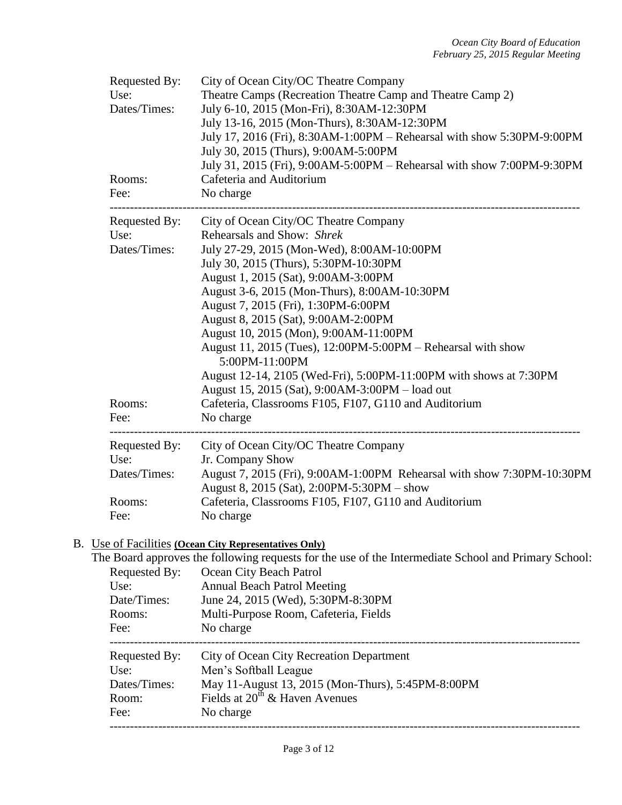| Requested By:<br>Use:<br>Dates/Times:<br>Rooms:<br>Fee: | City of Ocean City/OC Theatre Company<br>Theatre Camps (Recreation Theatre Camp and Theatre Camp 2)<br>July 6-10, 2015 (Mon-Fri), 8:30AM-12:30PM<br>July 13-16, 2015 (Mon-Thurs), 8:30AM-12:30PM<br>July 17, 2016 (Fri), 8:30AM-1:00PM – Rehearsal with show 5:30PM-9:00PM<br>July 30, 2015 (Thurs), 9:00AM-5:00PM<br>July 31, 2015 (Fri), 9:00AM-5:00PM – Rehearsal with show 7:00PM-9:30PM<br>Cafeteria and Auditorium<br>No charge |
|---------------------------------------------------------|---------------------------------------------------------------------------------------------------------------------------------------------------------------------------------------------------------------------------------------------------------------------------------------------------------------------------------------------------------------------------------------------------------------------------------------|
| Requested By:                                           | City of Ocean City/OC Theatre Company                                                                                                                                                                                                                                                                                                                                                                                                 |
| Use:<br>Dates/Times:                                    | Rehearsals and Show: Shrek                                                                                                                                                                                                                                                                                                                                                                                                            |
|                                                         | July 27-29, 2015 (Mon-Wed), 8:00AM-10:00PM<br>July 30, 2015 (Thurs), 5:30PM-10:30PM                                                                                                                                                                                                                                                                                                                                                   |
|                                                         | August 1, 2015 (Sat), 9:00AM-3:00PM                                                                                                                                                                                                                                                                                                                                                                                                   |
|                                                         | August 3-6, 2015 (Mon-Thurs), 8:00AM-10:30PM                                                                                                                                                                                                                                                                                                                                                                                          |
|                                                         | August 7, 2015 (Fri), 1:30PM-6:00PM                                                                                                                                                                                                                                                                                                                                                                                                   |
|                                                         | August 8, 2015 (Sat), 9:00AM-2:00PM                                                                                                                                                                                                                                                                                                                                                                                                   |
|                                                         | August 10, 2015 (Mon), 9:00AM-11:00PM                                                                                                                                                                                                                                                                                                                                                                                                 |
|                                                         | August 11, 2015 (Tues), 12:00PM-5:00PM – Rehearsal with show<br>5:00PM-11:00PM                                                                                                                                                                                                                                                                                                                                                        |
|                                                         | August 12-14, 2105 (Wed-Fri), 5:00PM-11:00PM with shows at 7:30PM                                                                                                                                                                                                                                                                                                                                                                     |
|                                                         | August 15, 2015 (Sat), 9:00AM-3:00PM - load out                                                                                                                                                                                                                                                                                                                                                                                       |
| Rooms:                                                  | Cafeteria, Classrooms F105, F107, G110 and Auditorium                                                                                                                                                                                                                                                                                                                                                                                 |
| Fee:                                                    | No charge                                                                                                                                                                                                                                                                                                                                                                                                                             |
| Requested By:                                           | City of Ocean City/OC Theatre Company                                                                                                                                                                                                                                                                                                                                                                                                 |
| Use:                                                    | Jr. Company Show                                                                                                                                                                                                                                                                                                                                                                                                                      |
| Dates/Times:                                            | August 7, 2015 (Fri), 9:00AM-1:00PM Rehearsal with show 7:30PM-10:30PM<br>August 8, 2015 (Sat), 2:00PM-5:30PM – show                                                                                                                                                                                                                                                                                                                  |
| Rooms:                                                  | Cafeteria, Classrooms F105, F107, G110 and Auditorium                                                                                                                                                                                                                                                                                                                                                                                 |
| Fee:                                                    | No charge                                                                                                                                                                                                                                                                                                                                                                                                                             |

# B. <u>Use of Facilities **(Ocean City Representatives Only)**<br>The Board approves the following requests for the</u>

|               | The Board approves the following requests for the use of the Intermediate School and Primary School: |
|---------------|------------------------------------------------------------------------------------------------------|
| Requested By: | Ocean City Beach Patrol                                                                              |
| Use:          | <b>Annual Beach Patrol Meeting</b>                                                                   |
| Date/Times:   | June 24, 2015 (Wed), 5:30PM-8:30PM                                                                   |
| Rooms:        | Multi-Purpose Room, Cafeteria, Fields                                                                |
| Fee:          | No charge                                                                                            |
| Requested By: | City of Ocean City Recreation Department                                                             |
| Use:          | Men's Softball League                                                                                |
| Dates/Times:  | May 11-August 13, 2015 (Mon-Thurs), 5:45PM-8:00PM                                                    |
| Room:         | Fields at $20^{th}$ & Haven Avenues                                                                  |
| Fee:          | No charge                                                                                            |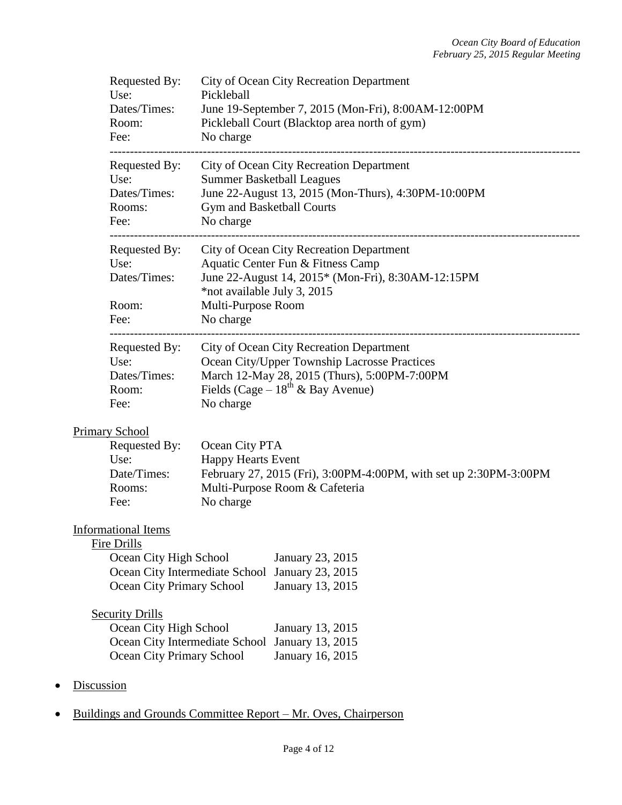| Requested By:<br>Use:<br>Dates/Times:<br>Room:<br>Fee:                                                                             | City of Ocean City Recreation Department<br>Pickleball<br>June 19-September 7, 2015 (Mon-Fri), 8:00AM-12:00PM<br>Pickleball Court (Blacktop area north of gym)<br>No charge                     |
|------------------------------------------------------------------------------------------------------------------------------------|-------------------------------------------------------------------------------------------------------------------------------------------------------------------------------------------------|
| Requested By:<br>Use:<br>Dates/Times:<br>Rooms:<br>Fee:                                                                            | City of Ocean City Recreation Department<br><b>Summer Basketball Leagues</b><br>June 22-August 13, 2015 (Mon-Thurs), 4:30PM-10:00PM<br>Gym and Basketball Courts<br>No charge                   |
| Requested By:<br>Use:<br>Dates/Times:<br>Room:                                                                                     | City of Ocean City Recreation Department<br>Aquatic Center Fun & Fitness Camp<br>June 22-August 14, 2015* (Mon-Fri), 8:30AM-12:15PM<br>*not available July 3, 2015<br>Multi-Purpose Room        |
| Fee:                                                                                                                               | No charge                                                                                                                                                                                       |
| Requested By:<br>Use:<br>Dates/Times:<br>Room:<br>Fee:                                                                             | City of Ocean City Recreation Department<br>Ocean City/Upper Township Lacrosse Practices<br>March 12-May 28, 2015 (Thurs), 5:00PM-7:00PM<br>Fields (Cage – $18^{th}$ & Bay Avenue)<br>No charge |
| Primary School<br>Requested By:<br>Use:<br>Date/Times:<br>Rooms:<br>Fee:                                                           | Ocean City PTA<br><b>Happy Hearts Event</b><br>February 27, 2015 (Fri), 3:00PM-4:00PM, with set up 2:30PM-3:00PM<br>Multi-Purpose Room & Cafeteria<br>No charge                                 |
| <b>Informational Items</b><br>Fire Drills<br>Ocean City High School<br>Ocean City Intermediate School<br>Ocean City Primary School | January 23, 2015<br>January 23, 2015<br>January 13, 2015                                                                                                                                        |
| <b>Security Drills</b><br>Ocean City High School<br>Ocean City Primary School                                                      | January 13, 2015<br>Ocean City Intermediate School<br>January 13, 2015<br>January 16, 2015                                                                                                      |
| <b>Discussion</b>                                                                                                                  |                                                                                                                                                                                                 |

• Buildings and Grounds Committee Report – Mr. Oves, Chairperson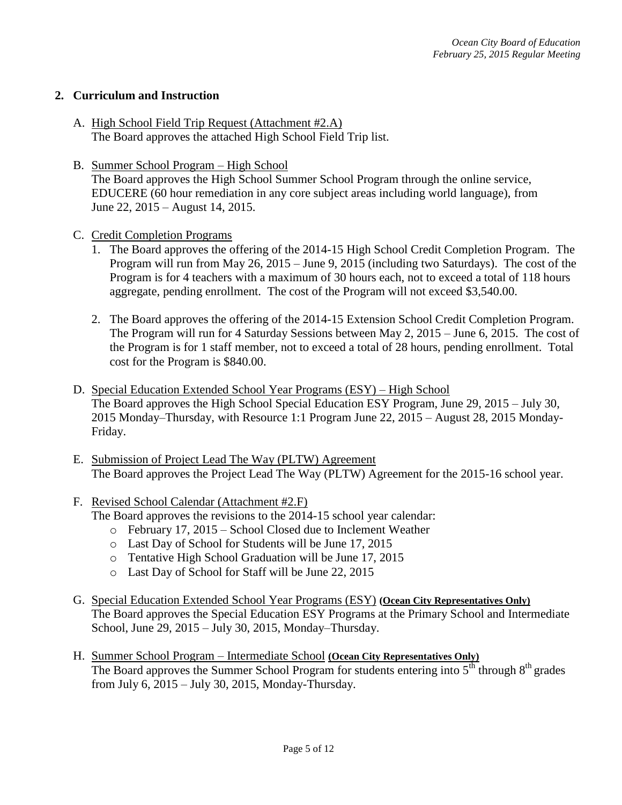### **2. Curriculum and Instruction**

- A. High School Field Trip Request (Attachment #2.A) The Board approves the attached High School Field Trip list.
- B. Summer School Program High School The Board approves the High School Summer School Program through the online service, EDUCERE (60 hour remediation in any core subject areas including world language), from June 22, 2015 – August 14, 2015.
- C. Credit Completion Programs
	- 1. The Board approves the offering of the 2014-15 High School Credit Completion Program. The Program will run from May 26, 2015 – June 9, 2015 (including two Saturdays). The cost of the Program is for 4 teachers with a maximum of 30 hours each, not to exceed a total of 118 hours aggregate, pending enrollment. The cost of the Program will not exceed \$3,540.00.
	- 2. The Board approves the offering of the 2014-15 Extension School Credit Completion Program. The Program will run for 4 Saturday Sessions between May 2, 2015 – June 6, 2015. The cost of the Program is for 1 staff member, not to exceed a total of 28 hours, pending enrollment. Total cost for the Program is \$840.00.
- D. Special Education Extended School Year Programs (ESY) High School The Board approves the High School Special Education ESY Program, June 29, 2015 – July 30, 2015 Monday–Thursday, with Resource 1:1 Program June 22, 2015 – August 28, 2015 Monday-Friday.
- E. Submission of Project Lead The Way (PLTW) Agreement The Board approves the Project Lead The Way (PLTW) Agreement for the 2015-16 school year.
- F. Revised School Calendar (Attachment #2.F)
	- The Board approves the revisions to the 2014-15 school year calendar:
		- o February 17, 2015 School Closed due to Inclement Weather
		- o Last Day of School for Students will be June 17, 2015
		- o Tentative High School Graduation will be June 17, 2015
		- o Last Day of School for Staff will be June 22, 2015
- G. Special Education Extended School Year Programs (ESY) **(Ocean City Representatives Only)**  The Board approves the Special Education ESY Programs at the Primary School and Intermediate School, June 29, 2015 – July 30, 2015, Monday–Thursday.
- H. Summer School Program Intermediate School **(Ocean City Representatives Only)** The Board approves the Summer School Program for students entering into  $5<sup>th</sup>$  through  $8<sup>th</sup>$  grades from July 6, 2015 – July 30, 2015, Monday-Thursday.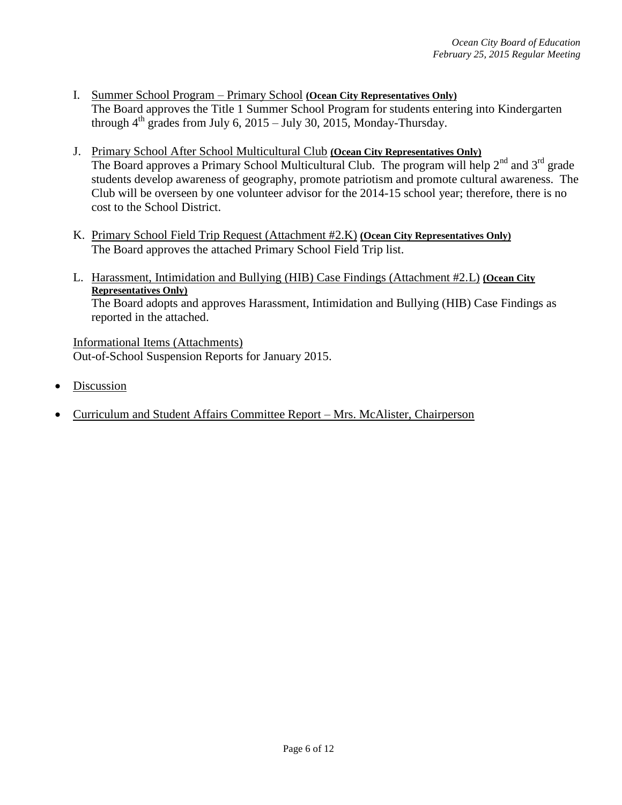- I. Summer School Program Primary School **(Ocean City Representatives Only)** The Board approves the Title 1 Summer School Program for students entering into Kindergarten through  $4^{th}$  grades from July 6, 2015 – July 30, 2015, Monday-Thursday.
- J. Primary School After School Multicultural Club **(Ocean City Representatives Only)** The Board approves a Primary School Multicultural Club. The program will help 2<sup>nd</sup> and 3<sup>rd</sup> grade students develop awareness of geography, promote patriotism and promote cultural awareness. The Club will be overseen by one volunteer advisor for the 2014-15 school year; therefore, there is no cost to the School District.
- K. Primary School Field Trip Request (Attachment #2.K) **(Ocean City Representatives Only)** The Board approves the attached Primary School Field Trip list.
- L. Harassment, Intimidation and Bullying (HIB) Case Findings (Attachment #2.L) **(Ocean City Representatives Only)** The Board adopts and approves Harassment, Intimidation and Bullying (HIB) Case Findings as reported in the attached.

Informational Items (Attachments) Out-of-School Suspension Reports for January 2015.

- Discussion
- Curriculum and Student Affairs Committee Report Mrs. McAlister, Chairperson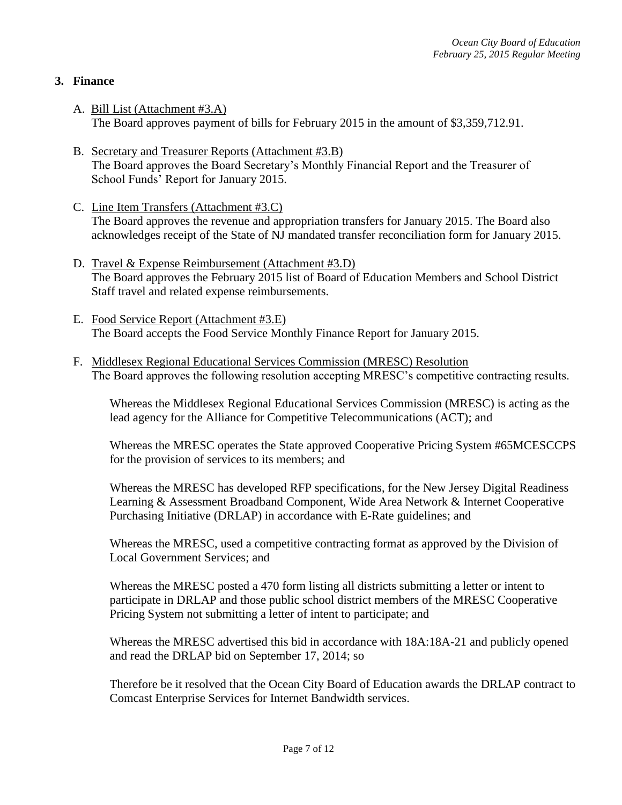# **3. Finance**

- A. Bill List (Attachment #3.A) The Board approves payment of bills for February 2015 in the amount of \$3,359,712.91.
- B. Secretary and Treasurer Reports (Attachment #3.B) The Board approves the Board Secretary's Monthly Financial Report and the Treasurer of School Funds' Report for January 2015.
- C. Line Item Transfers (Attachment #3.C) The Board approves the revenue and appropriation transfers for January 2015. The Board also acknowledges receipt of the State of NJ mandated transfer reconciliation form for January 2015.
- D. Travel & Expense Reimbursement (Attachment #3.D) The Board approves the February 2015 list of Board of Education Members and School District Staff travel and related expense reimbursements.
- E. Food Service Report (Attachment #3.E) The Board accepts the Food Service Monthly Finance Report for January 2015.
- F. Middlesex Regional Educational Services Commission (MRESC) Resolution The Board approves the following resolution accepting MRESC's competitive contracting results.

Whereas the Middlesex Regional Educational Services Commission (MRESC) is acting as the lead agency for the Alliance for Competitive Telecommunications (ACT); and

Whereas the MRESC operates the State approved Cooperative Pricing System #65MCESCCPS for the provision of services to its members; and

Whereas the MRESC has developed RFP specifications, for the New Jersey Digital Readiness Learning & Assessment Broadband Component, Wide Area Network & Internet Cooperative Purchasing Initiative (DRLAP) in accordance with E-Rate guidelines; and

Whereas the MRESC, used a competitive contracting format as approved by the Division of Local Government Services; and

Whereas the MRESC posted a 470 form listing all districts submitting a letter or intent to participate in DRLAP and those public school district members of the MRESC Cooperative Pricing System not submitting a letter of intent to participate; and

Whereas the MRESC advertised this bid in accordance with 18A:18A-21 and publicly opened and read the DRLAP bid on September 17, 2014; so

Therefore be it resolved that the Ocean City Board of Education awards the DRLAP contract to Comcast Enterprise Services for Internet Bandwidth services.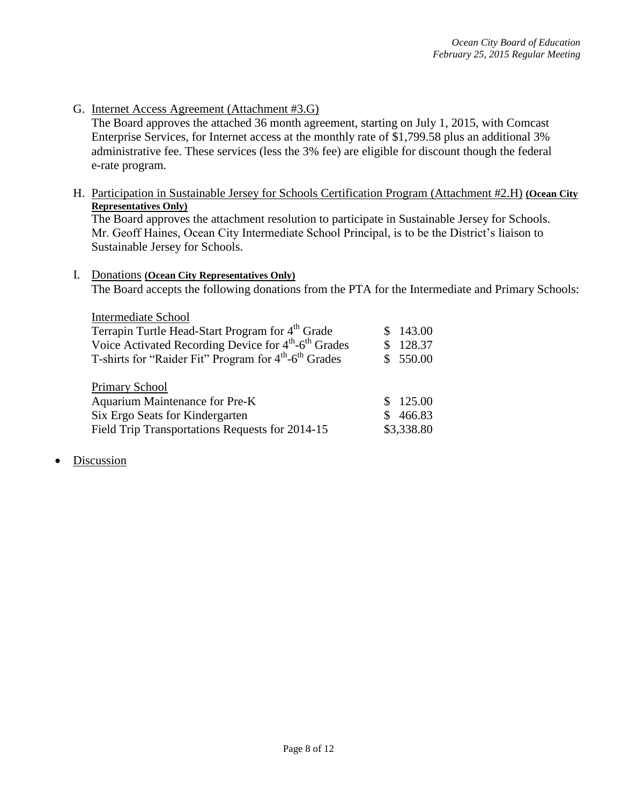G. Internet Access Agreement (Attachment #3.G)

The Board approves the attached 36 month agreement, starting on July 1, 2015, with Comcast Enterprise Services, for Internet access at the monthly rate of \$1,799.58 plus an additional 3% administrative fee. These services (less the 3% fee) are eligible for discount though the federal e-rate program.

H. Participation in Sustainable Jersey for Schools Certification Program (Attachment #2.H) **(Ocean City Representatives Only)**

The Board approves the attachment resolution to participate in Sustainable Jersey for Schools. Mr. Geoff Haines, Ocean City Intermediate School Principal, is to be the District's liaison to Sustainable Jersey for Schools.

#### I. Donations **(Ocean City Representatives Only)**

The Board accepts the following donations from the PTA for the Intermediate and Primary Schools:

| <b>Intermediate School</b>                                                    |  |            |  |  |  |  |
|-------------------------------------------------------------------------------|--|------------|--|--|--|--|
| Terrapin Turtle Head-Start Program for 4 <sup>th</sup> Grade                  |  | 143.00     |  |  |  |  |
| Voice Activated Recording Device for 4 <sup>th</sup> -6 <sup>th</sup> Grades  |  | 128.37     |  |  |  |  |
| T-shirts for "Raider Fit" Program for 4 <sup>th</sup> -6 <sup>th</sup> Grades |  | \$550.00   |  |  |  |  |
|                                                                               |  |            |  |  |  |  |
| <b>Primary School</b>                                                         |  |            |  |  |  |  |
| Aquarium Maintenance for Pre-K                                                |  | 125.00     |  |  |  |  |
| Six Ergo Seats for Kindergarten                                               |  | 466.83     |  |  |  |  |
| Field Trip Transportations Requests for 2014-15                               |  | \$3,338.80 |  |  |  |  |

Discussion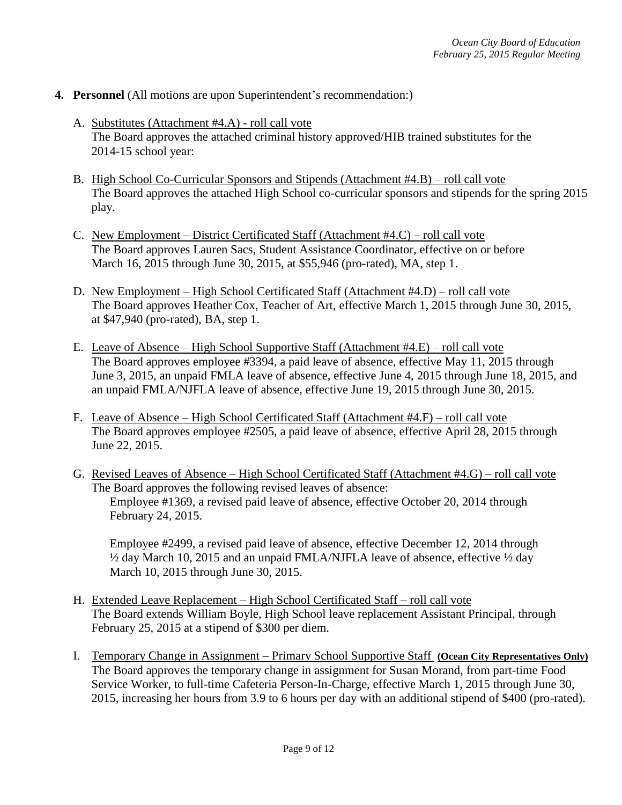- **4. Personnel** (All motions are upon Superintendent's recommendation:)
	- A. Substitutes (Attachment #4.A) roll call vote The Board approves the attached criminal history approved/HIB trained substitutes for the 2014-15 school year:
	- B. High School Co-Curricular Sponsors and Stipends (Attachment #4.B) roll call vote The Board approves the attached High School co-curricular sponsors and stipends for the spring 2015 play.
	- C. New Employment District Certificated Staff (Attachment #4.C) roll call vote The Board approves Lauren Sacs, Student Assistance Coordinator, effective on or before March 16, 2015 through June 30, 2015, at \$55,946 (pro-rated), MA, step 1.
	- D. New Employment High School Certificated Staff (Attachment #4.D) roll call vote The Board approves Heather Cox, Teacher of Art, effective March 1, 2015 through June 30, 2015, at \$47,940 (pro-rated), BA, step 1.
	- E. Leave of Absence High School Supportive Staff (Attachment #4.E) roll call vote The Board approves employee #3394, a paid leave of absence, effective May 11, 2015 through June 3, 2015, an unpaid FMLA leave of absence, effective June 4, 2015 through June 18, 2015, and an unpaid FMLA/NJFLA leave of absence, effective June 19, 2015 through June 30, 2015.
	- F. Leave of Absence High School Certificated Staff (Attachment #4.F) roll call vote The Board approves employee #2505, a paid leave of absence, effective April 28, 2015 through June 22, 2015.
	- G. Revised Leaves of Absence High School Certificated Staff (Attachment #4.G) roll call vote The Board approves the following revised leaves of absence: Employee #1369, a revised paid leave of absence, effective October 20, 2014 through February 24, 2015.

Employee #2499, a revised paid leave of absence, effective December 12, 2014 through ½ day March 10, 2015 and an unpaid FMLA/NJFLA leave of absence, effective ½ day March 10, 2015 through June 30, 2015.

- H. Extended Leave Replacement High School Certificated Staff roll call vote The Board extends William Boyle, High School leave replacement Assistant Principal, through February 25, 2015 at a stipend of \$300 per diem.
- I. Temporary Change in Assignment Primary School Supportive Staff **(Ocean City Representatives Only)** The Board approves the temporary change in assignment for Susan Morand, from part-time Food Service Worker, to full-time Cafeteria Person-In-Charge, effective March 1, 2015 through June 30, 2015, increasing her hours from 3.9 to 6 hours per day with an additional stipend of \$400 (pro-rated).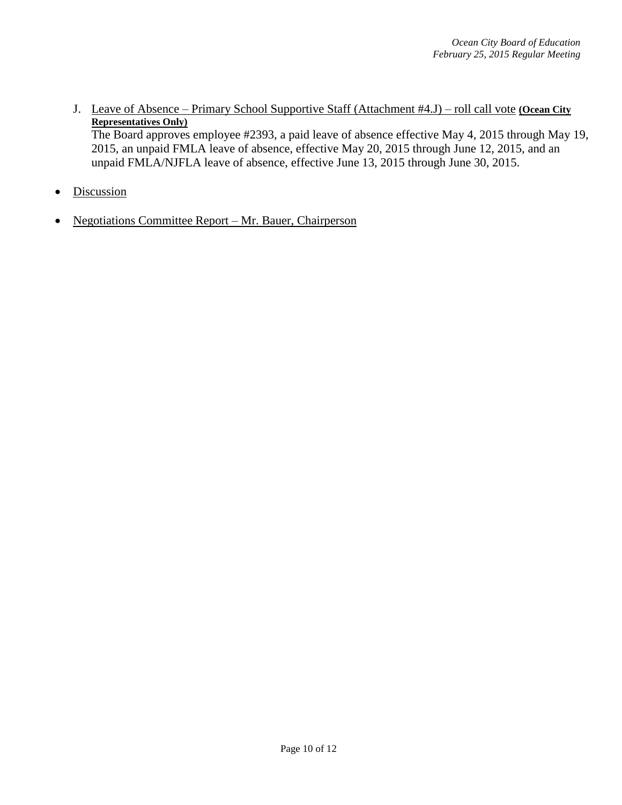J. Leave of Absence – Primary School Supportive Staff (Attachment #4.J) – roll call vote **(Ocean City Representatives Only)**

The Board approves employee #2393, a paid leave of absence effective May 4, 2015 through May 19, 2015, an unpaid FMLA leave of absence, effective May 20, 2015 through June 12, 2015, and an unpaid FMLA/NJFLA leave of absence, effective June 13, 2015 through June 30, 2015.

- Discussion
- Negotiations Committee Report Mr. Bauer, Chairperson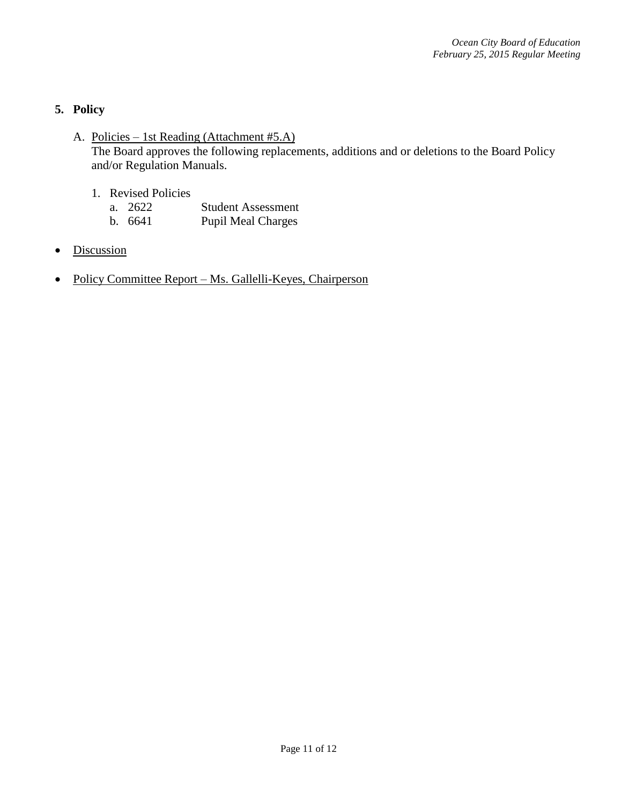# **5. Policy**

- A. Policies 1st Reading (Attachment #5.A) The Board approves the following replacements, additions and or deletions to the Board Policy and/or Regulation Manuals.
	- 1. Revised Policies
		- a. 2622 Student Assessment
		- b. 6641 Pupil Meal Charges
- Discussion
- Policy Committee Report Ms. Gallelli-Keyes, Chairperson